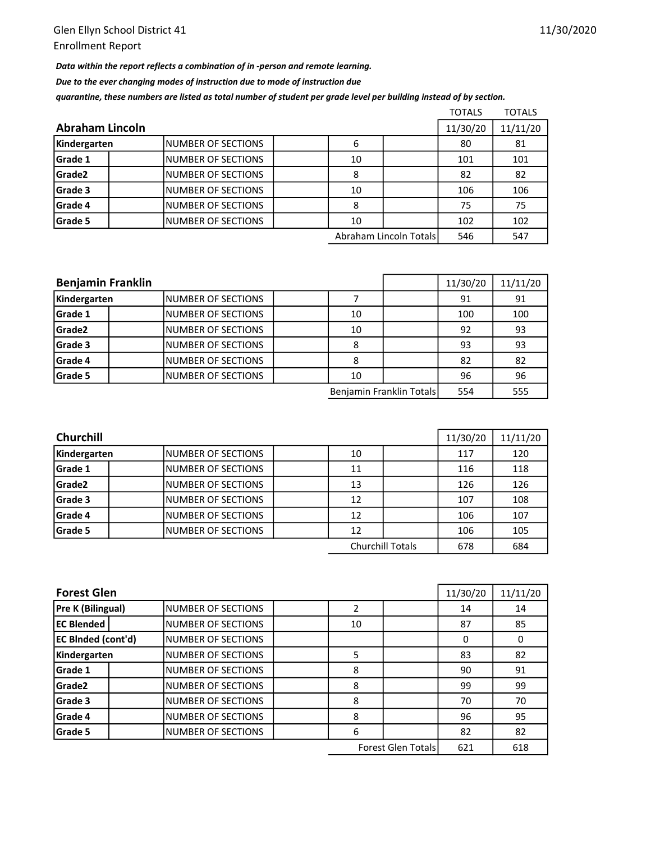Data within the report reflects a combination of in -person and remote learning.

Due to the ever changing modes of instruction due to mode of instruction due

quarantine, these numbers are listed as total number of student per grade level per building instead of by section.

|                 |                           |  |    |                        | <b>TOTALS</b> | <b>TOTALS</b> |
|-----------------|---------------------------|--|----|------------------------|---------------|---------------|
| Abraham Lincoln |                           |  |    |                        |               | 11/11/20      |
| Kindergarten    | INUMBER OF SECTIONS       |  | 6  |                        | 80            | 81            |
| <b>Grade 1</b>  | <b>NUMBER OF SECTIONS</b> |  | 10 |                        | 101           | 101           |
| <b>Grade2</b>   | <b>NUMBER OF SECTIONS</b> |  | 8  |                        | 82            | 82            |
| <b>Grade 3</b>  | INUMBER OF SECTIONS       |  | 10 |                        | 106           | 106           |
| Grade 4         | <b>NUMBER OF SECTIONS</b> |  | 8  |                        | 75            | 75            |
| Grade 5         | INUMBER OF SECTIONS       |  | 10 |                        | 102           | 102           |
|                 |                           |  |    | Abraham Lincoln Totals | 546           | 547           |

| <b>Benjamin Franklin</b> |                     |    | 11/30/20                 | 11/11/20 |     |
|--------------------------|---------------------|----|--------------------------|----------|-----|
| Kindergarten             | INUMBER OF SECTIONS |    |                          | 91       | 91  |
| Grade 1                  | INUMBER OF SECTIONS | 10 |                          | 100      | 100 |
| Grade2                   | NUMBER OF SECTIONS  | 10 |                          | 92       | 93  |
| Grade 3                  | INUMBER OF SECTIONS | 8  |                          | 93       | 93  |
| Grade 4                  | INUMBER OF SECTIONS | 8  |                          | 82       | 82  |
| Grade 5                  | INUMBER OF SECTIONS | 10 |                          | 96       | 96  |
|                          |                     |    | Benjamin Franklin Totals | 554      | 555 |

| <b>Churchill</b>   |                     |  |    |                         |     | 11/11/20 |
|--------------------|---------------------|--|----|-------------------------|-----|----------|
| Kindergarten       | INUMBER OF SECTIONS |  | 10 |                         | 117 | 120      |
| <b>Grade 1</b>     | INUMBER OF SECTIONS |  | 11 |                         | 116 | 118      |
| Grade <sub>2</sub> | INUMBER OF SECTIONS |  | 13 |                         | 126 | 126      |
| Grade 3            | INUMBER OF SECTIONS |  | 12 |                         | 107 | 108      |
| <b>Grade 4</b>     | INUMBER OF SECTIONS |  | 12 |                         | 106 | 107      |
| Grade 5            | INUMBER OF SECTIONS |  | 12 |                         | 106 | 105      |
|                    |                     |  |    | <b>Churchill Totals</b> | 678 | 684      |

| <b>Forest Glen</b>        |                           |  |    |  |     | 11/11/20 |
|---------------------------|---------------------------|--|----|--|-----|----------|
| Pre K (Bilingual)         | INUMBER OF SECTIONS       |  |    |  | 14  | 14       |
| <b>EC Blended</b>         | <b>NUMBER OF SECTIONS</b> |  | 10 |  | 87  | 85       |
| <b>EC BInded (cont'd)</b> | INUMBER OF SECTIONS       |  |    |  | 0   | 0        |
| Kindergarten              | NUMBER OF SECTIONS        |  | 5  |  | 83  | 82       |
| Grade 1                   | <b>NUMBER OF SECTIONS</b> |  | 8  |  | 90  | 91       |
| Grade <sub>2</sub>        | <b>NUMBER OF SECTIONS</b> |  | 8  |  | 99  | 99       |
| Grade 3                   | <b>NUMBER OF SECTIONS</b> |  | 8  |  | 70  | 70       |
| Grade 4                   | <b>NUMBER OF SECTIONS</b> |  | 8  |  | 96  | 95       |
| Grade 5                   | <b>NUMBER OF SECTIONS</b> |  | 6  |  | 82  | 82       |
| <b>Forest Glen Totals</b> |                           |  |    |  | 621 | 618      |